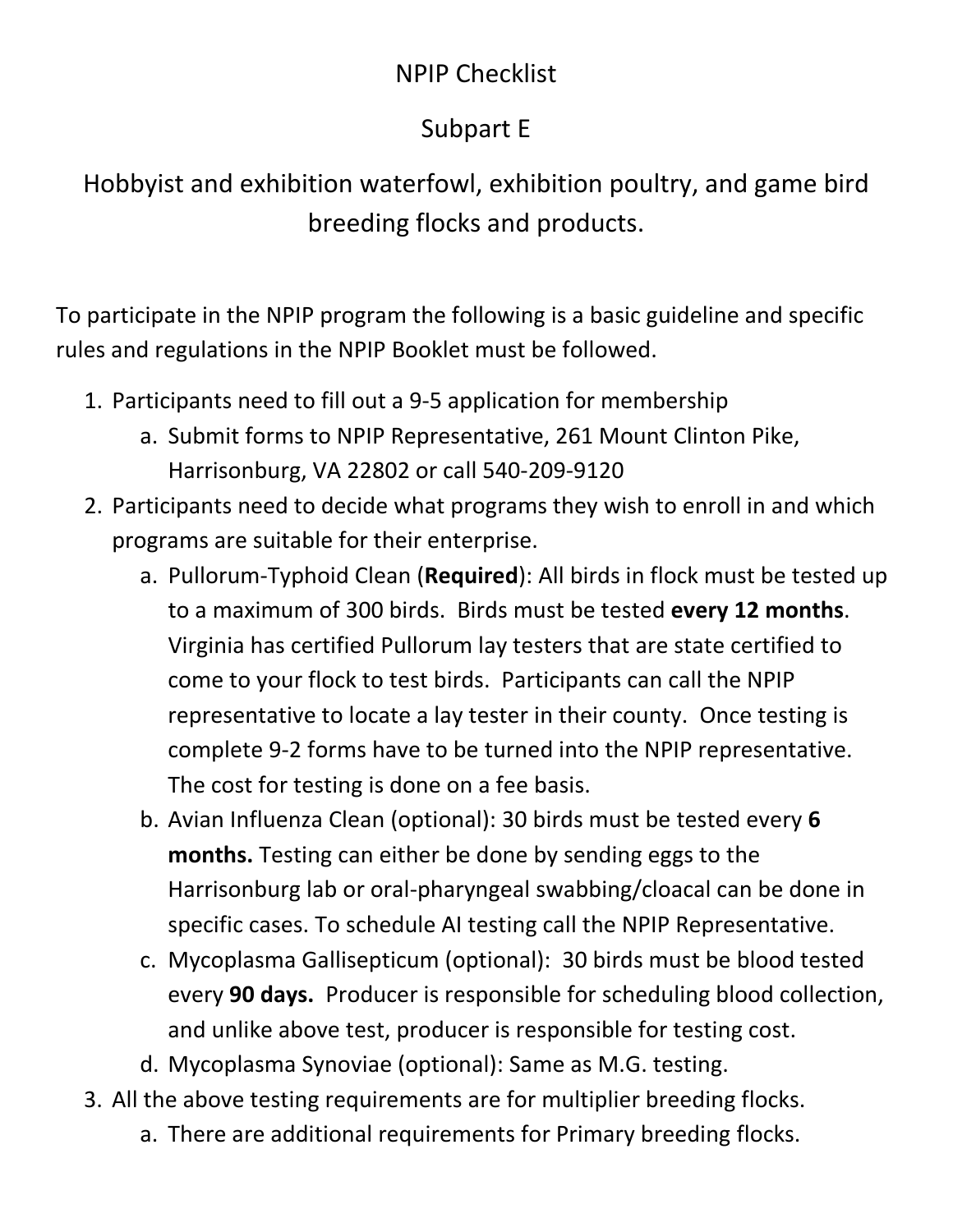## NPIP Checklist

## Subpart E

Hobbyist and exhibition waterfowl, exhibition poultry, and game bird breeding flocks and products.

To participate in the NPIP program the following is a basic guideline and specific rules and regulations in the NPIP Booklet must be followed.

- 1. Participants need to fill out a 9-5 application for membership
	- a. Submit forms to NPIP Representative, 261 Mount Clinton Pike, Harrisonburg, VA 22802 or call 540-209-9120
- 2. Participants need to decide what programs they wish to enroll in and which programs are suitable for their enterprise.
	- a. Pullorum-Typhoid Clean (**Required**): All birds in flock must be tested up to a maximum of 300 birds. Birds must be tested **every 12 months**. Virginia has certified Pullorum lay testers that are state certified to come to your flock to test birds. Participants can call the NPIP representative to locate a lay tester in their county. Once testing is complete 9-2 forms have to be turned into the NPIP representative. The cost for testing is done on a fee basis.
	- b. Avian Influenza Clean (optional): 30 birds must be tested every **6 months.** Testing can either be done by sending eggs to the Harrisonburg lab or oral-pharyngeal swabbing/cloacal can be done in specific cases. To schedule AI testing call the NPIP Representative.
	- c. Mycoplasma Gallisepticum (optional): 30 birds must be blood tested every **90 days.** Producer is responsible for scheduling blood collection, and unlike above test, producer is responsible for testing cost.
	- d. Mycoplasma Synoviae (optional): Same as M.G. testing.
- 3. All the above testing requirements are for multiplier breeding flocks.
	- a. There are additional requirements for Primary breeding flocks.